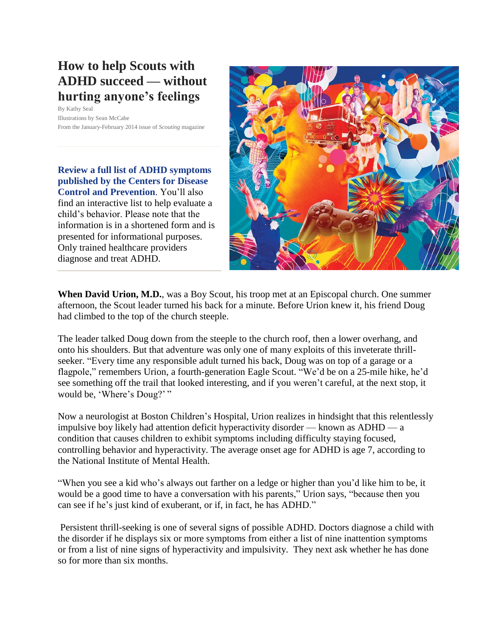# **How to help Scouts with ADHD succeed — without hurting anyone's feelings**

By Kathy Seal Illustrations by Sean McCabe From the January-February 2014 issue of *Scouting* magazine

**[Review a full list of ADHD symptoms](http://www.cdc.gov/ncbddd/adhd/diagnosis.html)  [published by the Centers for Disease](http://www.cdc.gov/ncbddd/adhd/diagnosis.html)  Control [and Prevention](http://www.cdc.gov/ncbddd/adhd/diagnosis.html)**. You'll also find an interactive list to help evaluate a child's behavior. Please note that the information is in a shortened form and is presented for informational purposes. Only trained healthcare providers diagnose and treat ADHD.



**When David Urion, M.D.**, was a Boy Scout, his troop met at an Episcopal church. One summer afternoon, the Scout leader turned his back for a minute. Before Urion knew it, his friend Doug had climbed to the top of the church steeple.

The leader talked Doug down from the steeple to the church roof, then a lower overhang, and onto his shoulders. But that adventure was only one of many exploits of this inveterate thrillseeker. "Every time any responsible adult turned his back, Doug was on top of a garage or a flagpole," remembers Urion, a fourth-generation Eagle Scout. "We'd be on a 25-mile hike, he'd see something off the trail that looked interesting, and if you weren't careful, at the next stop, it would be, 'Where's Doug?'"

Now a neurologist at Boston Children's Hospital, Urion realizes in hindsight that this relentlessly impulsive boy likely had attention deficit hyperactivity disorder — known as ADHD — a condition that causes children to exhibit symptoms including difficulty staying focused, controlling behavior and hyperactivity. The average onset age for ADHD is age 7, according to the National Institute of Mental Health.

"When you see a kid who's always out farther on a ledge or higher than you'd like him to be, it would be a good time to have a conversation with his parents," Urion says, "because then you can see if he's just kind of exuberant, or if, in fact, he has ADHD."

Persistent thrill-seeking is one of several signs of possible ADHD. Doctors diagnose a child with the disorder if he displays six or more symptoms from either a list of nine inattention symptoms or from a list of nine signs of hyperactivity and impulsivity. They next ask whether he has done so for more than six months.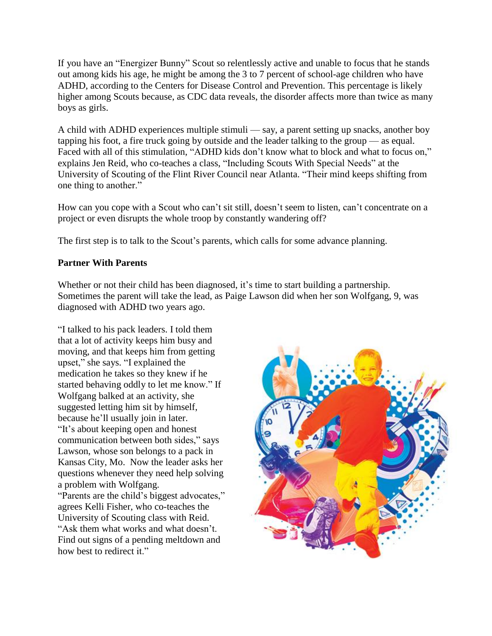If you have an "Energizer Bunny" Scout so relentlessly active and unable to focus that he stands out among kids his age, he might be among the 3 to 7 percent of school-age children who have ADHD, according to the Centers for Disease Control and Prevention. This percentage is likely higher among Scouts because, as CDC data reveals, the disorder affects more than twice as many boys as girls.

A child with ADHD experiences multiple stimuli — say, a parent setting up snacks, another boy tapping his foot, a fire truck going by outside and the leader talking to the group — as equal. Faced with all of this stimulation, "ADHD kids don't know what to block and what to focus on," explains Jen Reid, who co-teaches a class, "Including Scouts With Special Needs" at the University of Scouting of the Flint River Council near Atlanta. "Their mind keeps shifting from one thing to another."

How can you cope with a Scout who can't sit still, doesn't seem to listen, can't concentrate on a project or even disrupts the whole troop by constantly wandering off?

The first step is to talk to the Scout's parents, which calls for some advance planning.

# **Partner With Parents**

Whether or not their child has been diagnosed, it's time to start building a partnership. Sometimes the parent will take the lead, as Paige Lawson did when her son Wolfgang, 9, was diagnosed with ADHD two years ago.

"I talked to his pack leaders. I told them that a lot of activity keeps him busy and moving, and that keeps him from getting upset," she says. "I explained the medication he takes so they knew if he started behaving oddly to let me know." If Wolfgang balked at an activity, she suggested letting him sit by himself, because he'll usually join in later. "It's about keeping open and honest communication between both sides," says Lawson, whose son belongs to a pack in Kansas City, Mo. Now the leader asks her questions whenever they need help solving a problem with Wolfgang. "Parents are the child's biggest advocates," agrees Kelli Fisher, who co-teaches the University of Scouting class with Reid. "Ask them what works and what doesn't. Find out signs of a pending meltdown and how best to redirect it."

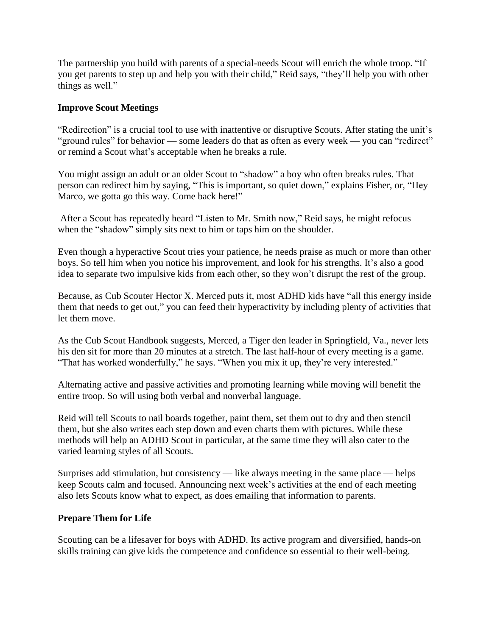The partnership you build with parents of a special-needs Scout will enrich the whole troop. "If you get parents to step up and help you with their child," Reid says, "they'll help you with other things as well."

### **Improve Scout Meetings**

"Redirection" is a crucial tool to use with inattentive or disruptive Scouts. After stating the unit's "ground rules" for behavior — some leaders do that as often as every week — you can "redirect" or remind a Scout what's acceptable when he breaks a rule.

You might assign an adult or an older Scout to "shadow" a boy who often breaks rules. That person can redirect him by saying, "This is important, so quiet down," explains Fisher, or, "Hey Marco, we gotta go this way. Come back here!"

After a Scout has repeatedly heard "Listen to Mr. Smith now," Reid says, he might refocus when the "shadow" simply sits next to him or taps him on the shoulder.

Even though a hyperactive Scout tries your patience, he needs praise as much or more than other boys. So tell him when you notice his improvement, and look for his strengths. It's also a good idea to separate two impulsive kids from each other, so they won't disrupt the rest of the group.

Because, as Cub Scouter Hector X. Merced puts it, most ADHD kids have "all this energy inside them that needs to get out," you can feed their hyperactivity by including plenty of activities that let them move.

As the Cub Scout Handbook suggests, Merced, a Tiger den leader in Springfield, Va., never lets his den sit for more than 20 minutes at a stretch. The last half-hour of every meeting is a game. "That has worked wonderfully," he says. "When you mix it up, they're very interested."

Alternating active and passive activities and promoting learning while moving will benefit the entire troop. So will using both verbal and nonverbal language.

Reid will tell Scouts to nail boards together, paint them, set them out to dry and then stencil them, but she also writes each step down and even charts them with pictures. While these methods will help an ADHD Scout in particular, at the same time they will also cater to the varied learning styles of all Scouts.

Surprises add stimulation, but consistency — like always meeting in the same place — helps keep Scouts calm and focused. Announcing next week's activities at the end of each meeting also lets Scouts know what to expect, as does emailing that information to parents.

#### **Prepare Them for Life**

Scouting can be a lifesaver for boys with ADHD. Its active program and diversified, hands-on skills training can give kids the competence and confidence so essential to their well-being.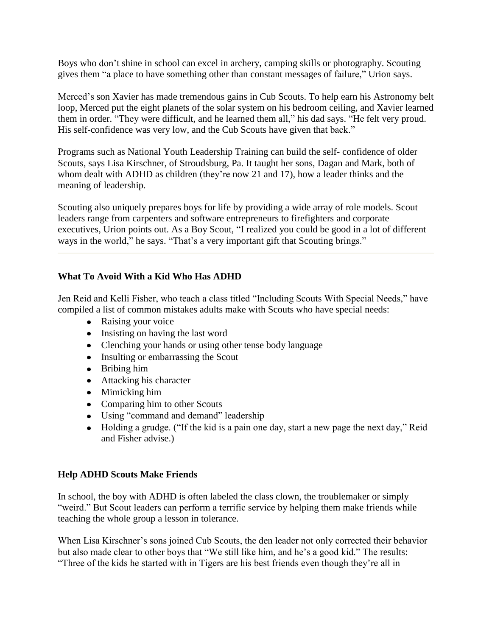Boys who don't shine in school can excel in archery, camping skills or photography. Scouting gives them "a place to have something other than constant messages of failure," Urion says.

Merced's son Xavier has made tremendous gains in Cub Scouts. To help earn his Astronomy belt loop, Merced put the eight planets of the solar system on his bedroom ceiling, and Xavier learned them in order. "They were difficult, and he learned them all," his dad says. "He felt very proud. His self-confidence was very low, and the Cub Scouts have given that back."

Programs such as National Youth Leadership Training can build the self- confidence of older Scouts, says Lisa Kirschner, of Stroudsburg, Pa. It taught her sons, Dagan and Mark, both of whom dealt with ADHD as children (they're now 21 and 17), how a leader thinks and the meaning of leadership.

Scouting also uniquely prepares boys for life by providing a wide array of role models. Scout leaders range from carpenters and software entrepreneurs to firefighters and corporate executives, Urion points out. As a Boy Scout, "I realized you could be good in a lot of different ways in the world," he says. "That's a very important gift that Scouting brings."

# **What To Avoid With a Kid Who Has ADHD**

Jen Reid and Kelli Fisher, who teach a class titled "Including Scouts With Special Needs," have compiled a list of common mistakes adults make with Scouts who have special needs:

- Raising your voice
- Insisting on having the last word
- Clenching your hands or using other tense body language
- Insulting or embarrassing the Scout
- Bribing him
- Attacking his character
- Mimicking him
- Comparing him to other Scouts
- Using "command and demand" leadership
- Holding a grudge. ("If the kid is a pain one day, start a new page the next day," Reid and Fisher advise.)

# **Help ADHD Scouts Make Friends**

In school, the boy with ADHD is often labeled the class clown, the troublemaker or simply "weird." But Scout leaders can perform a terrific service by helping them make friends while teaching the whole group a lesson in tolerance.

When Lisa Kirschner's sons joined Cub Scouts, the den leader not only corrected their behavior but also made clear to other boys that "We still like him, and he's a good kid." The results: "Three of the kids he started with in Tigers are his best friends even though they're all in